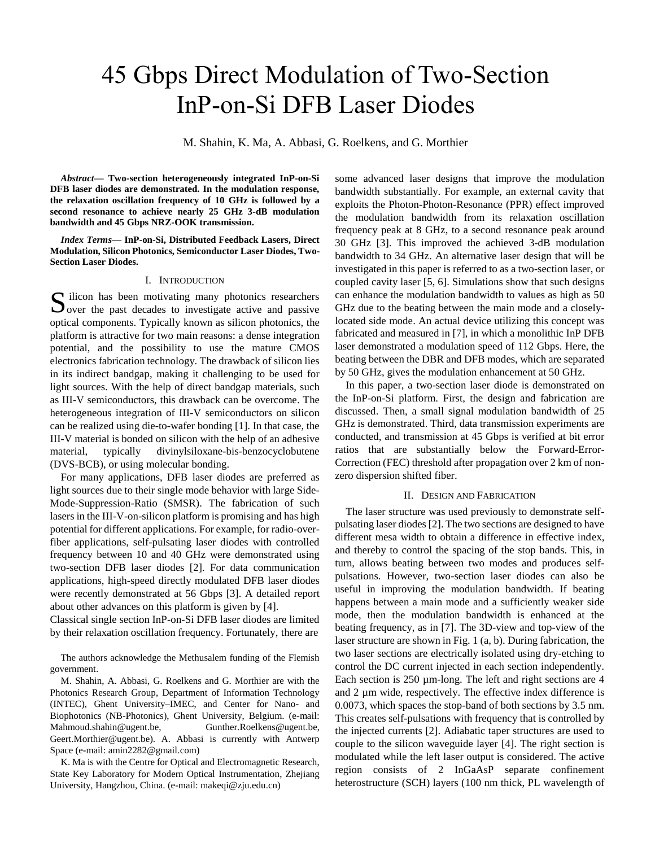# 45 Gbps Direct Modulation of Two-Section InP-on-Si DFB Laser Diodes

M. Shahin, K. Ma, A. Abbasi, G. Roelkens, and G. Morthier

*Abstract***— Two-section heterogeneously integrated InP-on-Si DFB laser diodes are demonstrated. In the modulation response, the relaxation oscillation frequency of 10 GHz is followed by a second resonance to achieve nearly 25 GHz 3-dB modulation bandwidth and 45 Gbps NRZ-OOK transmission.**

*Index Terms***— InP-on-Si, Distributed Feedback Lasers, Direct Modulation, Silicon Photonics, Semiconductor Laser Diodes, Two-Section Laser Diodes.**

### I. INTRODUCTION

 $\Gamma$  ilicon has been motivating many photonics researchers S ilicon has been motivating many photonics researchers<br>Over the past decades to investigate active and passive optical components. Typically known as silicon photonics, the platform is attractive for two main reasons: a dense integration potential, and the possibility to use the mature CMOS electronics fabrication technology. The drawback of silicon lies in its indirect bandgap, making it challenging to be used for light sources. With the help of direct bandgap materials, such as III-V semiconductors, this drawback can be overcome. The heterogeneous integration of III-V semiconductors on silicon can be realized using die-to-wafer bonding [1]. In that case, the III-V material is bonded on silicon with the help of an adhesive material, typically divinylsiloxane-bis-benzocyclobutene (DVS-BCB), or using molecular bonding.

For many applications, DFB laser diodes are preferred as light sources due to their single mode behavior with large Side-Mode-Suppression-Ratio (SMSR). The fabrication of such lasers in the III-V-on-silicon platform is promising and has high potential for different applications. For example, for radio-overfiber applications, self-pulsating laser diodes with controlled frequency between 10 and 40 GHz were demonstrated using two-section DFB laser diodes [2]. For data communication applications, high-speed directly modulated DFB laser diodes were recently demonstrated at 56 Gbps [3]. A detailed report about other advances on this platform is given by [4].

Classical single section InP-on-Si DFB laser diodes are limited by their relaxation oscillation frequency. Fortunately, there are

The authors acknowledge the Methusalem funding of the Flemish government.

M. Shahin, A. Abbasi, G. Roelkens and G. Morthier are with the Photonics Research Group, Department of Information Technology (INTEC), Ghent University–IMEC, and Center for Nano- and Biophotonics (NB-Photonics), Ghent University, Belgium. (e-mail: Mahmoud.shahin@ugent.be, Gunther.Roelkens@ugent.be, Geert.Morthier@ugent.be). A. Abbasi is currently with Antwerp Space (e-mail: amin2282@gmail.com)

K. Ma is with the Centre for Optical and Electromagnetic Research, State Key Laboratory for Modern Optical Instrumentation, Zhejiang University, Hangzhou, China. (e-mail: makeqi@zju.edu.cn)

some advanced laser designs that improve the modulation bandwidth substantially. For example, an external cavity that exploits the Photon-Photon-Resonance (PPR) effect improved the modulation bandwidth from its relaxation oscillation frequency peak at 8 GHz, to a second resonance peak around 30 GHz [3]. This improved the achieved 3-dB modulation bandwidth to 34 GHz. An alternative laser design that will be investigated in this paper is referred to as a two-section laser, or coupled cavity laser [5, 6]. Simulations show that such designs can enhance the modulation bandwidth to values as high as 50 GHz due to the beating between the main mode and a closelylocated side mode. An actual device utilizing this concept was fabricated and measured in [7], in which a monolithic InP DFB laser demonstrated a modulation speed of 112 Gbps. Here, the beating between the DBR and DFB modes, which are separated by 50 GHz, gives the modulation enhancement at 50 GHz.

In this paper, a two-section laser diode is demonstrated on the InP-on-Si platform. First, the design and fabrication are discussed. Then, a small signal modulation bandwidth of 25 GHz is demonstrated. Third, data transmission experiments are conducted, and transmission at 45 Gbps is verified at bit error ratios that are substantially below the Forward-Error-Correction (FEC) threshold after propagation over 2 km of nonzero dispersion shifted fiber.

#### II. DESIGN AND FABRICATION

The laser structure was used previously to demonstrate selfpulsating laser diodes [2]. The two sections are designed to have different mesa width to obtain a difference in effective index, and thereby to control the spacing of the stop bands. This, in turn, allows beating between two modes and produces selfpulsations. However, two-section laser diodes can also be useful in improving the modulation bandwidth. If beating happens between a main mode and a sufficiently weaker side mode, then the modulation bandwidth is enhanced at the beating frequency, as in [7]. The 3D-view and top-view of the laser structure are shown in Fig. 1 (a, b). During fabrication, the two laser sections are electrically isolated using dry-etching to control the DC current injected in each section independently. Each section is  $250 \mu m$ -long. The left and right sections are 4 and 2 µm wide, respectively. The effective index difference is 0.0073, which spaces the stop-band of both sections by 3.5 nm. This creates self-pulsations with frequency that is controlled by the injected currents [2]. Adiabatic taper structures are used to couple to the silicon waveguide layer [4]. The right section is modulated while the left laser output is considered. The active region consists of 2 InGaAsP separate confinement heterostructure (SCH) layers (100 nm thick, PL wavelength of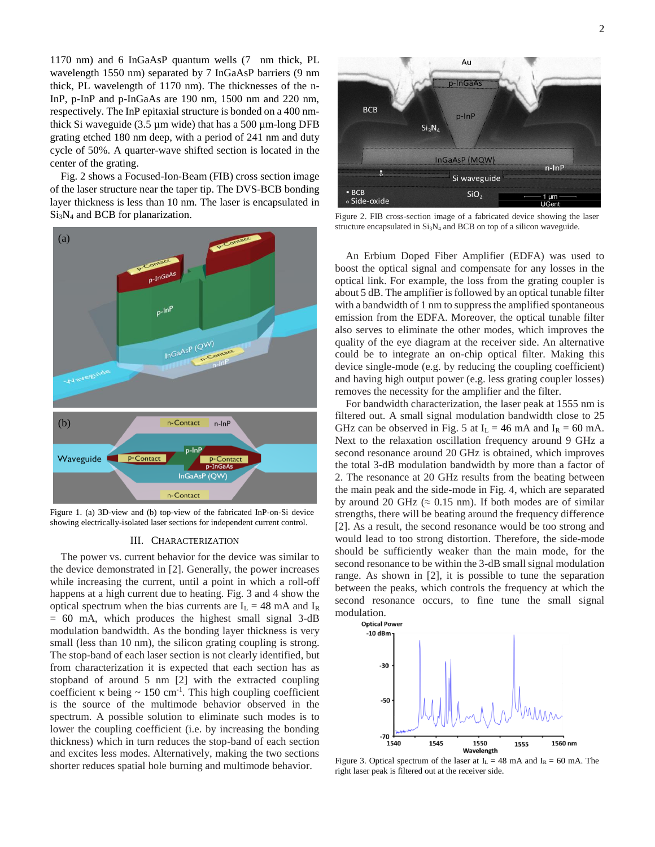1170 nm) and 6 InGaAsP quantum wells (7 nm thick, PL wavelength 1550 nm) separated by 7 InGaAsP barriers (9 nm thick, PL wavelength of 1170 nm). The thicknesses of the n-InP, p-InP and p-InGaAs are 190 nm, 1500 nm and 220 nm, respectively. The InP epitaxial structure is bonded on a 400 nmthick Si waveguide  $(3.5 \mu m)$  wide) that has a 500  $\mu$ m-long DFB grating etched 180 nm deep, with a period of 241 nm and duty cycle of 50%. A quarter-wave shifted section is located in the center of the grating.

Fig. 2 shows a Focused-Ion-Beam (FIB) cross section image of the laser structure near the taper tip. The DVS-BCB bonding layer thickness is less than 10 nm. The laser is encapsulated in Si3N<sup>4</sup> and BCB for planarization.



Figure 1. (a) 3D-view and (b) top-view of the fabricated InP-on-Si device showing electrically-isolated laser sections for independent current control.

#### III. CHARACTERIZATION

The power vs. current behavior for the device was similar to the device demonstrated in [2]. Generally, the power increases while increasing the current, until a point in which a roll-off happens at a high current due to heating. Fig. 3 and 4 show the optical spectrum when the bias currents are  $I_L = 48$  mA and  $I_R$  $= 60$  mA, which produces the highest small signal 3-dB modulation bandwidth. As the bonding layer thickness is very small (less than 10 nm), the silicon grating coupling is strong. The stop-band of each laser section is not clearly identified, but from characterization it is expected that each section has as stopband of around 5 nm [2] with the extracted coupling coefficient  $\kappa$  being  $\sim 150$  cm<sup>-1</sup>. This high coupling coefficient is the source of the multimode behavior observed in the spectrum. A possible solution to eliminate such modes is to lower the coupling coefficient (i.e. by increasing the bonding thickness) which in turn reduces the stop-band of each section and excites less modes. Alternatively, making the two sections shorter reduces spatial hole burning and multimode behavior.



Figure 2. FIB cross-section image of a fabricated device showing the laser structure encapsulated in  $Si<sub>3</sub>N<sub>4</sub>$  and BCB on top of a silicon waveguide.

An Erbium Doped Fiber Amplifier (EDFA) was used to boost the optical signal and compensate for any losses in the optical link. For example, the loss from the grating coupler is about 5 dB. The amplifier is followed by an optical tunable filter with a bandwidth of 1 nm to suppress the amplified spontaneous emission from the EDFA. Moreover, the optical tunable filter also serves to eliminate the other modes, which improves the quality of the eye diagram at the receiver side. An alternative could be to integrate an on-chip optical filter. Making this device single-mode (e.g. by reducing the coupling coefficient) and having high output power (e.g. less grating coupler losses) removes the necessity for the amplifier and the filter.

For bandwidth characterization, the laser peak at 1555 nm is filtered out. A small signal modulation bandwidth close to 25 GHz can be observed in Fig. 5 at  $I_L = 46$  mA and  $I_R = 60$  mA. Next to the relaxation oscillation frequency around 9 GHz a second resonance around 20 GHz is obtained, which improves the total 3-dB modulation bandwidth by more than a factor of 2. The resonance at 20 GHz results from the beating between the main peak and the side-mode in Fig. 4, which are separated by around 20 GHz ( $\approx$  0.15 nm). If both modes are of similar strengths, there will be beating around the frequency difference [2]. As a result, the second resonance would be too strong and would lead to too strong distortion. Therefore, the side-mode should be sufficiently weaker than the main mode, for the second resonance to be within the 3-dB small signal modulation range. As shown in [2], it is possible to tune the separation between the peaks, which controls the frequency at which the second resonance occurs, to fine tune the small signal modulation.



Figure 3. Optical spectrum of the laser at  $I_L = 48$  mA and  $I_R = 60$  mA. The right laser peak is filtered out at the receiver side.